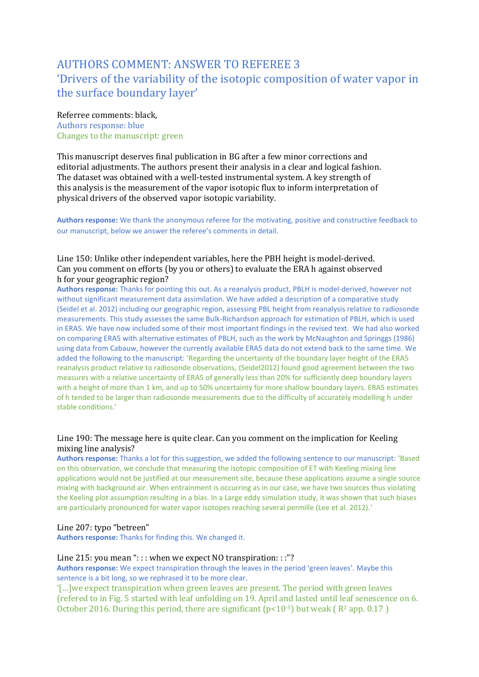# AUTHORS COMMENT: ANSWER TO REFEREE 3 'Drivers of the variability of the isotopic composition of water vapor in the surface boundary layer'

#### Referree comments: black,

Authors response: blue Changes to the manuscript: green

This manuscript deserves final publication in BG after a few minor corrections and editorial adjustments. The authors present their analysis in a clear and logical fashion. The dataset was obtained with a well-tested instrumental system. A key strength of this analysis is the measurement of the vapor isotopic flux to inform interpretation of physical drivers of the observed vapor isotopic variability.

**Authors response:** We thank the anonymous referee for the motivating, positive and constructive feedback to our manuscript, below we answer the referee's comments in detail.

# Line 150: Unlike other independent variables, here the PBH height is model-derived. Can you comment on efforts (by you or others) to evaluate the ERA h against observed h for your geographic region?

**Authors response:** Thanks for pointing this out. As a reanalysis product, PBLH is model-derived, however not without significant measurement data assimilation. We have added a description of a comparative study (Seidel et al. 2012) including our geographic region, assessing PBL height from reanalysis relative to radiosonde measurements. This study assesses the same Bulk-Richardson approach for estimation of PBLH, which is used in ERA5. We have now included some of their most important findings in the revised text. We had also worked on comparing ERA5 with alternative estimates of PBLH, such as the work by McNaughton and Springgs (1986) using data from Cabauw, however the currently available ERA5 data do not extend back to the same time. We added the following to the manuscript: 'Regarding the uncertainty of the boundary layer height of the ERA5 reanalysis product relative to radiosonde observations, (Seidel2012) found good agreement between the two measures with a relative uncertainty of ERA5 of generally less than 20% for sufficiently deep boundary layers with a height of more than 1 km, and up to 50% uncertainty for more shallow boundary layers. ERA5 estimates of h tended to be larger than radiosonde measurements due to the difficulty of accurately modelling h under stable conditions.'

## Line 190: The message here is quite clear. Can you comment on the implication for Keeling mixing line analysis?

**Authors response:** Thanks a lot for this suggestion, we added the following sentence to our manuscript: 'Based on this observation, we conclude that measuring the isotopic composition of ET with Keeling mixing line applications would not be justified at our measurement site, because these applications assume a single source mixing with background air. When entrainment is occurring as in our case, we have two sources thus violating the Keeling plot assumption resulting in a bias. In a Large eddy simulation study, it was shown that such biases are particularly pronounced for water vapor isotopes reaching several permille (Lee et al. 2012).'

#### Line 207: typo "betreen"

**Authors response:** Thanks for finding this. We changed it.

#### Line 215: you mean "::: when we expect NO transpiration:::"?

**Authors response:** We expect transpiration through the leaves in the period 'green leaves'. Maybe this sentence is a bit long, so we rephrased it to be more clear.

'[…]we expect transpiration when green leaves are present. The period with green leaves (refered to in Fig. 5 started with leaf unfolding on 19. April and lasted until leaf senescence on 6. October 2016. During this period, there are significant  $(p<10^{-5})$  but weak ( $R^2$  app. 0.17)